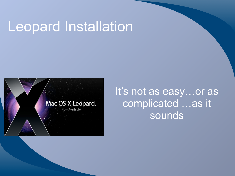#### Leopard Installation



It's not as easy...or as complicated …as it sounds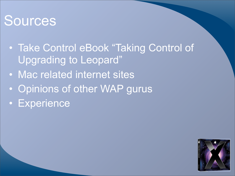#### **Sources**

- Take Control eBook "Taking Control of Upgrading to Leopard"
- Mac related internet sites
- Opinions of other WAP gurus
- Experience

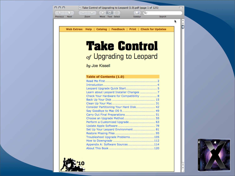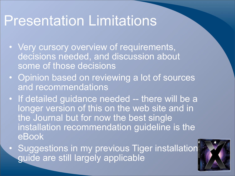#### Presentation Limitations

- Very cursory overview of requirements, decisions needed, and discussion about some of those decisions
- Opinion based on reviewing a lot of sources and recommendations
- If detailed guidance needed -- there will be a longer version of this on the web site and in the Journal but for now the best single installation recommendation guideline is the eBook
- Suggestions in my previous Tiger installation guide are still largely applicable

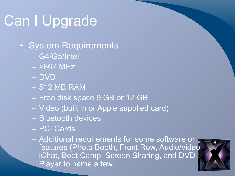# Can I Upgrade

- System Requirements
	- G4/G5/Intel
	- $> 867$  MHz
	- DVD
	- 512 MB RAM
	- Free disk space 9 GB or 12 GB
	- Video (built in or Apple supplied card)
	- Bluetooth devices
	- PCI Cards
	- Additional requirements for some software or features (Photo Booth, Front Row, Audio/video iChat, Boot Camp, Screen Sharing, and DVD Player to name a few

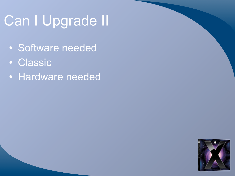# Can I Upgrade II

- Software needed
- Classic
- Hardware needed

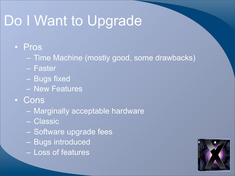# Do I Want to Upgrade

#### • Pros

- Time Machine (mostly good, some drawbacks)
- Faster
- Bugs fixed
- New Features
- Cons
	- Marginally acceptable hardware
	- Classic
	- Software upgrade fees
	- Bugs introduced
	- Loss of features

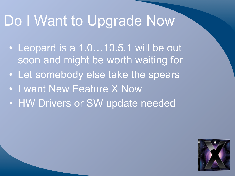## Do I Want to Upgrade Now

- Leopard is a 1.0...10.5.1 will be out soon and might be worth waiting for
- Let somebody else take the spears
- I want New Feature X Now
- HW Drivers or SW update needed

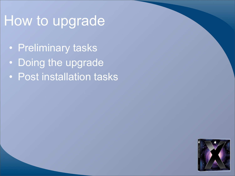## How to upgrade

- Preliminary tasks
- Doing the upgrade
- Post installation tasks

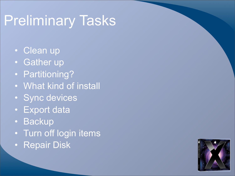# Preliminary Tasks

- Clean up
- Gather up
- Partitioning?
- What kind of install
- Sync devices
- Export data
- Backup
- Turn off login items
- Repair Disk

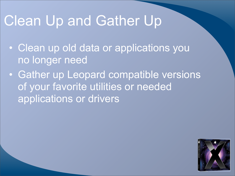### Clean Up and Gather Up

- Clean up old data or applications you no longer need
- Gather up Leopard compatible versions of your favorite utilities or needed applications or drivers

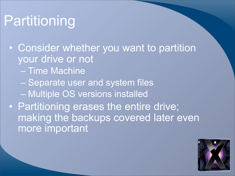# **Partitioning**

- Consider whether you want to partition your drive or not
	- Time Machine
	- Separate user and system files
	- Multiple OS versions installed
- Partitioning erases the entire drive; making the backups covered later even more important

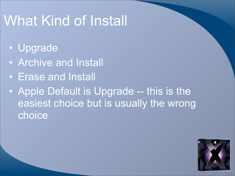## What Kind of Install

- Upgrade
- Archive and Install
- Erase and Install
- Apple Default is Upgrade -- this is the easiest choice but is usually the wrong choice

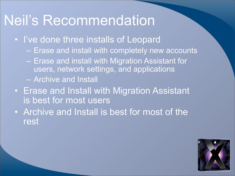#### Neil's Recommendation

- I've done three installs of Leopard
	- Erase and install with completely new accounts
	- Erase and install with Migration Assistant for users, network settings, and applications
	- Archive and Install
- Erase and Install with Migration Assistant is best for most users
- Archive and Install is best for most of the rest

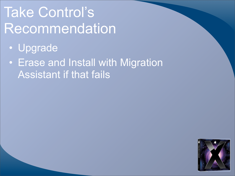# Take Control's **Recommendation**

- Upgrade
- Erase and Install with Migration Assistant if that fails

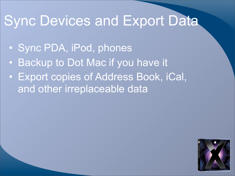#### Sync Devices and Export Data

- Sync PDA, iPod, phones
- Backup to Dot Mac if you have it
- Export copies of Address Book, iCal, and other irreplaceable data

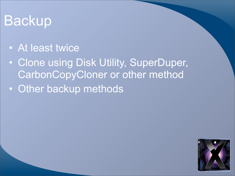# Backup

- At least twice
- Clone using Disk Utility, SuperDuper, CarbonCopyCloner or other method
- Other backup methods

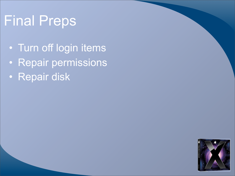# Final Preps

- Turn off login items
- Repair permissions
- Repair disk

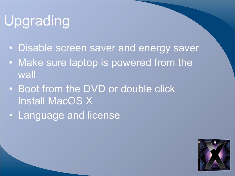# **Upgrading**

- Disable screen saver and energy saver
- Make sure laptop is powered from the wall
- Boot from the DVD or double click Install MacOS X
- Language and license

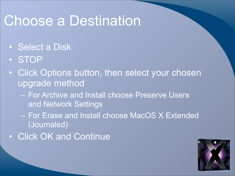### Choose a Destination

- Select a Disk
- STOP
- Click Options button, then select your chosen upgrade method
	- For Archive and Install choose Preserve Users and Network Settings
	- For Erase and Install choose MacOS X Extended (Journaled)
- Click OK and Continue

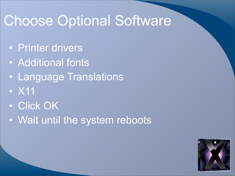## Choose Optional Software

- Printer drivers
- Additional fonts
- Language Translations
- X11
- Click OK
- Wait until the system reboots

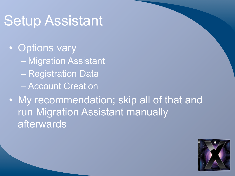#### Setup Assistant

• Options vary – Migration Assistant – Registration Data – Account Creation

• My recommendation; skip all of that and run Migration Assistant manually afterwards